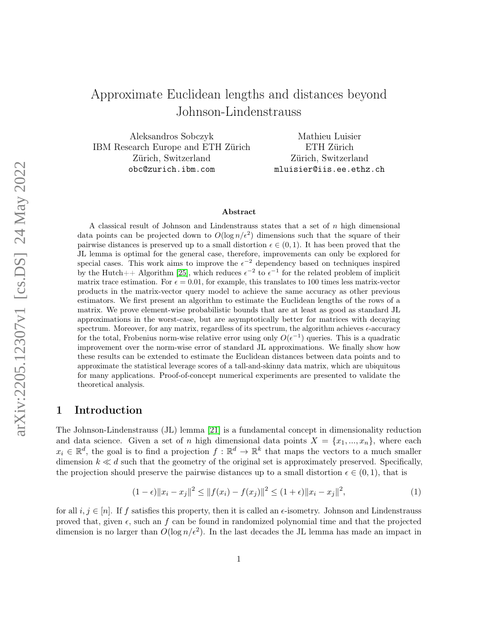# Approximate Euclidean lengths and distances beyond Johnson-Lindenstrauss

Aleksandros Sobczyk IBM Research Europe and ETH Zürich Zürich, Switzerland obc@zurich.ibm.com

Mathieu Luisier ETH Zürich Zürich, Switzerland mluisier@iis.ee.ethz.ch

#### Abstract

A classical result of Johnson and Lindenstrauss states that a set of n high dimensional data points can be projected down to  $O(\log n/\epsilon^2)$  dimensions such that the square of their pairwise distances is preserved up to a small distortion  $\epsilon \in (0, 1)$ . It has been proved that the JL lemma is optimal for the general case, therefore, improvements can only be explored for special cases. This work aims to improve the  $\epsilon^{-2}$  dependency based on techniques inspired by the Hutch++ Algorithm [\[25\]](#page-20-0), which reduces  $\epsilon^{-2}$  to  $\epsilon^{-1}$  for the related problem of implicit matrix trace estimation. For  $\epsilon = 0.01$ , for example, this translates to 100 times less matrix-vector products in the matrix-vector query model to achieve the same accuracy as other previous estimators. We first present an algorithm to estimate the Euclidean lengths of the rows of a matrix. We prove element-wise probabilistic bounds that are at least as good as standard JL approximations in the worst-case, but are asymptotically better for matrices with decaying spectrum. Moreover, for any matrix, regardless of its spectrum, the algorithm achieves  $\epsilon$ -accuracy for the total, Frobenius norm-wise relative error using only  $O(\epsilon^{-1})$  queries. This is a quadratic improvement over the norm-wise error of standard JL approximations. We finally show how these results can be extended to estimate the Euclidean distances between data points and to approximate the statistical leverage scores of a tall-and-skinny data matrix, which are ubiquitous for many applications. Proof-of-concept numerical experiments are presented to validate the theoretical analysis.

# 1 Introduction

The Johnson-Lindenstrauss (JL) lemma [\[21\]](#page-20-1) is a fundamental concept in dimensionality reduction and data science. Given a set of n high dimensional data points  $X = \{x_1, ..., x_n\}$ , where each  $x_i \in \mathbb{R}^d$ , the goal is to find a projection  $f : \mathbb{R}^d \to \mathbb{R}^k$  that maps the vectors to a much smaller dimension  $k \ll d$  such that the geometry of the original set is approximately preserved. Specifically, the projection should preserve the pairwise distances up to a small distortion  $\epsilon \in (0,1)$ , that is

$$
(1 - \epsilon) \|x_i - x_j\|^2 \le \|f(x_i) - f(x_j)\|^2 \le (1 + \epsilon) \|x_i - x_j\|^2,
$$
\n(1)

for all  $i, j \in [n]$ . If f satisfies this property, then it is called an  $\epsilon$ -isometry. Johnson and Lindenstrauss proved that, given  $\epsilon$ , such an f can be found in randomized polynomial time and that the projected dimension is no larger than  $O(\log n/\epsilon^2)$ . In the last decades the JL lemma has made an impact in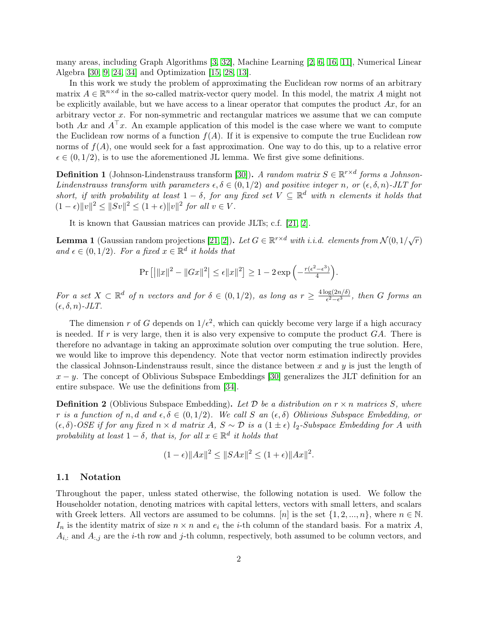many areas, including Graph Algorithms [\[3,](#page-18-0) [32\]](#page-20-2), Machine Learning [\[2,](#page-18-1) [6,](#page-19-0) [16,](#page-19-1) [11\]](#page-19-2), Numerical Linear Algebra [\[30,](#page-20-3) [9,](#page-19-3) [24,](#page-20-4) [34\]](#page-20-5) and Optimization [\[15,](#page-19-4) [28,](#page-20-6) [13\]](#page-19-5).

In this work we study the problem of approximating the Euclidean row norms of an arbitrary matrix  $A \in \mathbb{R}^{n \times d}$  in the so-called matrix-vector query model. In this model, the matrix A might not be explicitly available, but we have access to a linear operator that computes the product  $Ax$ , for an arbitrary vector x. For non-symmetric and rectangular matrices we assume that we can compute both Ax and  $A^{\top}x$ . An example application of this model is the case where we want to compute the Euclidean row norms of a function  $f(A)$ . If it is expensive to compute the true Euclidean row norms of  $f(A)$ , one would seek for a fast approximation. One way to do this, up to a relative error  $\epsilon \in (0, 1/2)$ , is to use the aforementioned JL lemma. We first give some definitions.

**Definition 1** (Johnson-Lindenstrauss transform [\[30\]](#page-20-3)). A random matrix  $S \in \mathbb{R}^{r \times d}$  forms a Johnson-Lindenstrauss transform with parameters  $\epsilon, \delta \in (0, 1/2)$  and positive integer n, or  $(\epsilon, \delta, n)$ -JLT for short, if with probability at least  $1 - \delta$ , for any fixed set  $V \subseteq \mathbb{R}^d$  with n elements it holds that  $(1 - \epsilon) ||v||^2 \le ||Sv||^2 \le (1 + \epsilon) ||v||^2$  for all  $v \in V$ .

It is known that Gaussian matrices can provide JLTs; c.f. [\[21,](#page-20-1) [2\]](#page-18-1).

<span id="page-1-0"></span>**Lemma 1** (Gaussian random projections [\[21,](#page-20-1) [2\]](#page-18-1)). Let  $G \in \mathbb{R}^{r \times d}$  with i.i.d. elements from  $\mathcal{N}(0, 1/\sqrt{r})$ and  $\epsilon \in (0,1/2)$ . For a fixed  $x \in \mathbb{R}^d$  it holds that

$$
\Pr\left[\left|\|x\|^2 - \|Gx\|^2\right| \leq \epsilon \|x\|^2\right] \geq 1 - 2\exp\left(-\frac{r(\epsilon^2 - \epsilon^3)}{4}\right).
$$

For a set  $X \subset \mathbb{R}^d$  of n vectors and for  $\delta \in (0,1/2)$ , as long as  $r \geq \frac{4 \log(2n/\delta)}{\epsilon^2 - \epsilon^3}$  $\frac{\log(2n/0)}{\epsilon^2 - \epsilon^3}$ , then G forms an  $(\epsilon, \delta, n)$ -JLT.

The dimension r of G depends on  $1/\epsilon^2$ , which can quickly become very large if a high accuracy is needed. If r is very large, then it is also very expensive to compute the product  $GA$ . There is therefore no advantage in taking an approximate solution over computing the true solution. Here, we would like to improve this dependency. Note that vector norm estimation indirectly provides the classical Johnson-Lindenstrauss result, since the distance between  $x$  and  $y$  is just the length of  $x - y$ . The concept of Oblivious Subspace Embeddings [\[30\]](#page-20-3) generalizes the JLT definition for an entire subspace. We use the definitions from [\[34\]](#page-20-5).

**Definition 2** (Oblivious Subspace Embedding). Let D be a distribution on  $r \times n$  matrices S, where r is a function of n, d and  $\epsilon, \delta \in (0, 1/2)$ . We call S an  $(\epsilon, \delta)$  Oblivious Subspace Embedding, or  $(\epsilon, \delta)$ -OSE if for any fixed  $n \times d$  matrix A,  $S \sim \mathcal{D}$  is a  $(1 \pm \epsilon)$  l<sub>2</sub>-Subspace Embedding for A with probability at least  $1 - \delta$ , that is, for all  $x \in \mathbb{R}^d$  it holds that

$$
(1 - \epsilon) \|Ax\|^2 \le \|SAx\|^2 \le (1 + \epsilon) \|Ax\|^2.
$$

#### 1.1 Notation

Throughout the paper, unless stated otherwise, the following notation is used. We follow the Householder notation, denoting matrices with capital letters, vectors with small letters, and scalars with Greek letters. All vectors are assumed to be columns.  $[n]$  is the set  $\{1, 2, ..., n\}$ , where  $n \in \mathbb{N}$ .  $I_n$  is the identity matrix of size  $n \times n$  and  $e_i$  the *i*-th column of the standard basis. For a matrix A,  $A_{i,:}$  and  $A_{:,j}$  are the *i*-th row and *j*-th column, respectively, both assumed to be column vectors, and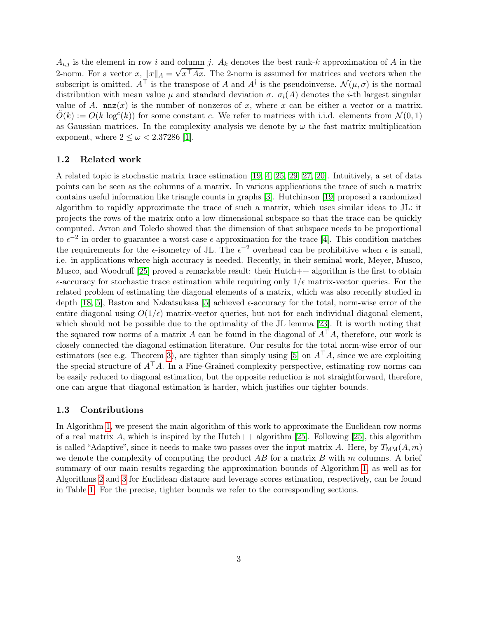$A_{i,j}$  is the element in row i and column j.  $A_k$  denotes the best rank-k approximation of A in the 2-norm. For a vector x,  $||x||_A = \sqrt{x^T A x}$ . The 2-norm is assumed for matrices and vectors when the subscript is omitted.  $A^{\top}$  is the transpose of A and  $A^{\dagger}$  is the pseudoinverse.  $\mathcal{N}(\mu,\sigma)$  is the normal distribution with mean value  $\mu$  and standard deviation  $\sigma$ .  $\sigma_i(A)$  denotes the *i*-th largest singular value of A.  $nnz(x)$  is the number of nonzeros of x, where x can be either a vector or a matrix.  $\tilde{O}(k) := O(k \log^{c}(k))$  for some constant c. We refer to matrices with i.i.d. elements from  $\mathcal{N}(0, 1)$ as Gaussian matrices. In the complexity analysis we denote by  $\omega$  the fast matrix multiplication exponent, where  $2 \leq \omega < 2.37286$  [\[1\]](#page-18-2).

#### 1.2 Related work

A related topic is stochastic matrix trace estimation [\[19,](#page-19-6) [4,](#page-19-7) [25,](#page-20-0) [29,](#page-20-7) [27,](#page-20-8) [20\]](#page-20-9). Intuitively, a set of data points can be seen as the columns of a matrix. In various applications the trace of such a matrix contains useful information like triangle counts in graphs [\[3\]](#page-18-0). Hutchinson [\[19\]](#page-19-6) proposed a randomized algorithm to rapidly approximate the trace of such a matrix, which uses similar ideas to JL: it projects the rows of the matrix onto a low-dimensional subspace so that the trace can be quickly computed. Avron and Toledo showed that the dimension of that subspace needs to be proportional to  $\epsilon^{-2}$  in order to guarantee a worst-case  $\epsilon$ -approximation for the trace [\[4\]](#page-19-7). This condition matches the requirements for the  $\epsilon$ -isometry of JL. The  $\epsilon^{-2}$  overhead can be prohibitive when  $\epsilon$  is small, i.e. in applications where high accuracy is needed. Recently, in their seminal work, Meyer, Musco, Musco, and Woodruff [\[25\]](#page-20-0) proved a remarkable result: their  $Hutch++$  algorithm is the first to obtain  $\epsilon$ -accuracy for stochastic trace estimation while requiring only  $1/\epsilon$  matrix-vector queries. For the related problem of estimating the diagonal elements of a matrix, which was also recently studied in depth [\[18,](#page-19-8) [5\]](#page-19-9), Baston and Nakatsukasa [\[5\]](#page-19-9) achieved  $\epsilon$ -accuracy for the total, norm-wise error of the entire diagonal using  $O(1/\epsilon)$  matrix-vector queries, but not for each individual diagonal element, which should not be possible due to the optimality of the JL lemma [\[23\]](#page-20-10). It is worth noting that the squared row norms of a matrix A can be found in the diagonal of  $A^{\top}A$ , therefore, our work is closely connected the diagonal estimation literature. Our results for the total norm-wise error of our estimators (see e.g. Theorem [3\)](#page-10-0), are tighter than simply using [\[5\]](#page-19-9) on  $A<sup>T</sup>A$ , since we are exploiting the special structure of  $A^{\top}A$ . In a Fine-Grained complexity perspective, estimating row norms can be easily reduced to diagonal estimation, but the opposite reduction is not straightforward, therefore, one can argue that diagonal estimation is harder, which justifies our tighter bounds.

#### 1.3 Contributions

In Algorithm [1,](#page-3-0) we present the main algorithm of this work to approximate the Euclidean row norms of a real matrix A, which is inspired by the Hutch $++$  algorithm [\[25\]](#page-20-0). Following [25], this algorithm is called "Adaptive", since it needs to make two passes over the input matrix A. Here, by  $T_{\text{MM}}(A, m)$ we denote the complexity of computing the product  $AB$  for a matrix  $B$  with  $m$  columns. A brief summary of our main results regarding the approximation bounds of Algorithm [1,](#page-3-0) as well as for Algorithms [2](#page-13-0) and [3](#page-15-0) for Euclidean distance and leverage scores estimation, respectively, can be found in Table [1.](#page-3-1) For the precise, tighter bounds we refer to the corresponding sections.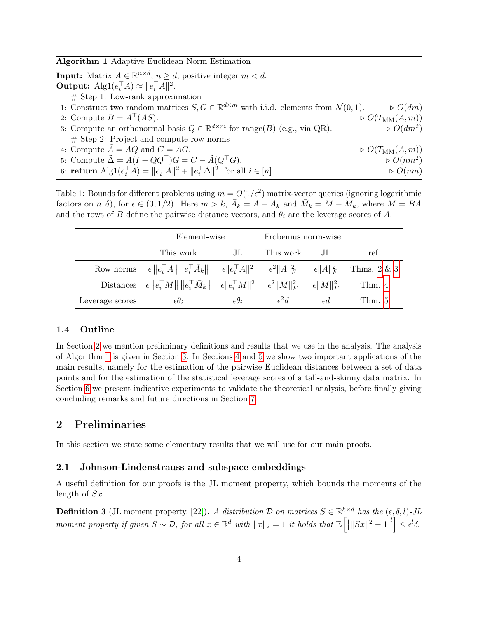<span id="page-3-0"></span>Algorithm 1 Adaptive Euclidean Norm Estimation

**Input:** Matrix  $A \in \mathbb{R}^{n \times d}$ ,  $n \ge d$ , positive integer  $m < d$ . **Output:**  $\text{Alg1}(e_i^\top A) \approx ||e_i^\top A||^2$ .

 $#$  Step 1: Low-rank approximation

- 1: Construct two random matrices  $S, G \in \mathbb{R}^{d \times m}$  with i.i.d. elements from  $\mathcal{N}(0, 1)$ .  $\Rightarrow O(dm)$
- 2: Compute  $B = A^{\top}(AS)$ .  $\triangleright$   $O(T_{\text{MM}}(A,m))$
- 3: Compute an orthonormal basis  $Q \in \mathbb{R}^{d \times m}$  for range(B) (e.g., via QR).  $\triangleright O(dm^2)$  $\triangleright$   $O(dm^2)$  $#$  Step 2: Project and compute row norms
- 4: Compute  $\tilde{A} = AQ$  and  $C = AG$ .  $\triangleright O(T_{\text{MM}}(A, m))$
- 5: Compute  $\tilde{\Delta} = A(I QQ^{\top})G = C \tilde{A}(Q^{\top}G)$ .  $\triangleright$   $O(nm^2)$
- 6: **return**  $\text{Alg1}(e_i^\top A) = ||e_i^\top \tilde{A}||^2 + ||e_i^\top \tilde{A}||^2$ , for all  $i \in [n]$ .  $\triangleright O(nm)$

<span id="page-3-1"></span>Table 1: Bounds for different problems using  $m = O(1/\epsilon^2)$  matrix-vector queries (ignoring logarithmic factors on  $n, \delta$ ), for  $\epsilon \in (0, 1/2)$ . Here  $m > k$ ,  $\overline{A}_k = A - A_k$  and  $\overline{M}_k = M - M_k$ , where  $M = BA$ and the rows of B define the pairwise distance vectors, and  $\theta_i$  are the leverage scores of A.

|                 | Element-wise                                                                                                                                |                     | Frobenius norm-wise |                      |                |
|-----------------|---------------------------------------------------------------------------------------------------------------------------------------------|---------------------|---------------------|----------------------|----------------|
|                 | This work                                                                                                                                   | JL                  | This work           | JL.                  | ref.           |
|                 | Row norms $\epsilon \ e_i^{\dagger} A\  \ e_i^{\dagger} A_k\ $ $\epsilon \ e_i^{\dagger} A\ ^2$ $\epsilon^2 \ A\ _F^2$ $\epsilon \ A\ _F^2$ |                     |                     |                      | Thms. $2 \& 3$ |
|                 | Distances $\epsilon \ e_i^{\top}M\  \ e_i^{\top}\bar{M}_k\  \quad \epsilon \ e_i^{\top}M\ ^2 \quad \epsilon^2 \ M\ _F^2$                    |                     |                     | $\epsilon \ M\ _F^2$ | Thm. 4         |
| Leverage scores | $\epsilon \theta_i$                                                                                                                         | $\epsilon \theta_i$ | $\epsilon^2 d$      | $\epsilon d$         | Thm. $5$       |

### 1.4 Outline

In Section [2](#page-3-2) we mention preliminary definitions and results that we use in the analysis. The analysis of Algorithm [1](#page-3-0) is given in Section [3.](#page-6-0) In Sections [4](#page-13-2) and [5](#page-14-0) we show two important applications of the main results, namely for the estimation of the pairwise Euclidean distances between a set of data points and for the estimation of the statistical leverage scores of a tall-and-skinny data matrix. In Section [6](#page-16-0) we present indicative experiments to validate the theoretical analysis, before finally giving concluding remarks and future directions in Section [7.](#page-18-3)

## <span id="page-3-2"></span>2 Preliminaries

In this section we state some elementary results that we will use for our main proofs.

### 2.1 Johnson-Lindenstrauss and subspace embeddings

A useful definition for our proofs is the JL moment property, which bounds the moments of the length of Sx.

<span id="page-3-3"></span>**Definition 3** (JL moment property, [\[22\]](#page-20-11)). A distribution D on matrices  $S \in \mathbb{R}^{k \times d}$  has the  $(\epsilon, \delta, l)$ -JL moment property if given  $S \sim \mathcal{D}$ , for all  $x \in \mathbb{R}^d$  with  $||x||_2 = 1$  it holds that  $\mathbb{E} \left[ |||Sx||^2 - 1 \right]$  $\left[ \iota \right] \leq \epsilon^l \delta.$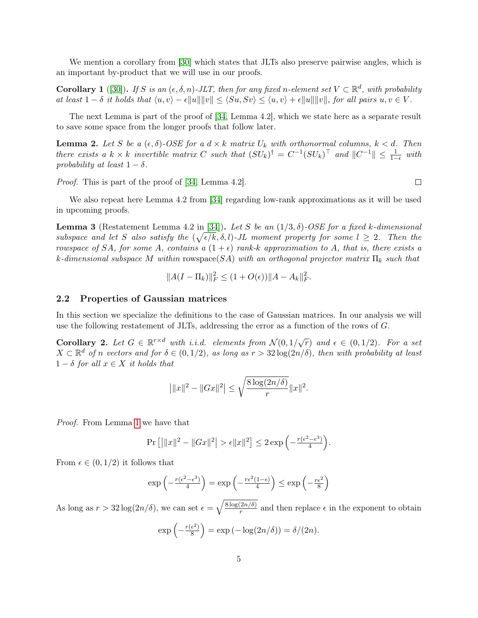We mention a corollary from [\[30\]](#page-20-3) which states that JLTs also preserve pairwise angles, which is an important by-product that we will use in our proofs.

<span id="page-4-2"></span>**Corollary 1** ([\[30\]](#page-20-3)). If S is an  $(\epsilon, \delta, n)$ -JLT, then for any fixed n-element set  $V \subset \mathbb{R}^d$ , with probability at least  $1 - \delta$  it holds that  $\langle u, v \rangle - \epsilon ||u|| ||v|| \le \langle S u, S v \rangle \le \langle u, v \rangle + \epsilon ||u|| ||v||$ , for all pairs  $u, v \in V$ .

The next Lemma is part of the proof of [\[34,](#page-20-5) Lemma 4.2], which we state here as a separate result to save some space from the longer proofs that follow later.

<span id="page-4-1"></span>**Lemma 2.** Let S be a  $(\epsilon, \delta)$ -OSE for a  $d \times k$  matrix  $U_k$  with orthonormal columns,  $k < d$ . Then there exists a  $k \times k$  invertible matrix C such that  $(SU_k)^{\dagger} = C^{-1}(SU_k)^{\top}$  and  $||C^{-1}|| \leq \frac{1}{1-\epsilon}$  with probability at least  $1 - \delta$ .

Proof. This is part of the proof of [\[34,](#page-20-5) Lemma 4.2].

We also repeat here Lemma 4.2 from [\[34\]](#page-20-5) regarding low-rank approximations as it will be used in upcoming proofs.

<span id="page-4-3"></span>**Lemma 3** (Restatement Lemma 4.2 in [\[34\]](#page-20-5)). Let S be an  $(1/3, \delta)$ -OSE for a fixed k-dimensional subspace and let S also satisfy the  $(\sqrt{\epsilon/k}, \delta, l)$ -JL moment property for some  $l \geq 2$ . Then the rowspace of SA, for some A, contains a  $(1 + \epsilon)$  rank-k approximation to A, that is, there exists a k-dimensional subspace M within rowspace(SA) with an orthogonal projector matrix  $\Pi_k$  such that

$$
||A(I - \Pi_k)||_F^2 \le (1 + O(\epsilon)) ||A - A_k||_F^2.
$$

#### 2.2 Properties of Gaussian matrices

In this section we specialize the definitions to the case of Gaussian matrices. In our analysis we will use the following restatement of JLTs, addressing the error as a function of the rows of G.

<span id="page-4-0"></span>**Corollary 2.** Let  $G \in \mathbb{R}^{r \times d}$  with i.i.d. elements from  $\mathcal{N}(0, 1/\sqrt{r})$  and  $\epsilon \in (0, 1/2)$ . For a set  $X \subset \mathbb{R}^d$  of n vectors and for  $\delta \in (0, 1/2)$ , as long as  $r > 32 \log(2n/\delta)$ , then with probability at least  $1 - \delta$  for all  $x \in X$  it holds that

$$
|||x||^2 - ||Gx||^2| \le \sqrt{\frac{8\log(2n/\delta)}{r}} ||x||^2.
$$

Proof. From Lemma [1](#page-1-0) we have that

$$
\Pr\left[\left|\|x\|^2 - \|Gx\|^2\right| > \epsilon \|x\|^2\right] \le 2\exp\left(-\frac{r(\epsilon^2 - \epsilon^3)}{4}\right).
$$

From  $\epsilon \in (0, 1/2)$  it follows that

$$
\exp\left(-\frac{r(\epsilon^2 - \epsilon^3)}{4}\right) = \exp\left(-\frac{r\epsilon^2(1-\epsilon)}{4}\right) \le \exp\left(-\frac{r\epsilon^2}{8}\right)
$$

As long as  $r > 32 \log(2n/\delta)$ , we can set  $\epsilon = \sqrt{\frac{8 \log(2n/\delta)}{r}}$  $\frac{2n}{r}$  and then replace  $\epsilon$  in the exponent to obtain

$$
\exp\left(-\frac{r(\epsilon^2)}{8}\right) = \exp(-\log(2n/\delta)) = \delta/(2n).
$$

 $\Box$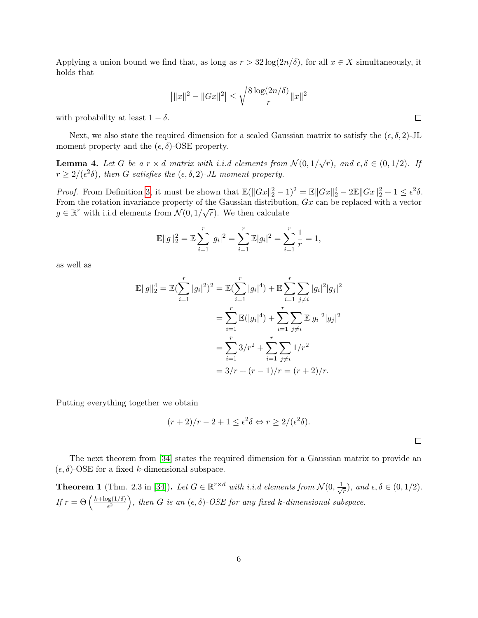Applying a union bound we find that, as long as  $r > 32 \log(2n/\delta)$ , for all  $x \in X$  simultaneously, it holds that

$$
|||x||^2 - ||Gx||^2| \le \sqrt{\frac{8\log(2n/\delta)}{r}} ||x||^2
$$

with probability at least  $1 - \delta$ .

Next, we also state the required dimension for a scaled Gaussian matrix to satisfy the  $(\epsilon, \delta, 2)$ -JL moment property and the  $(\epsilon, \delta)$ -OSE property.

**Lemma 4.** Let G be a  $r \times d$  matrix with i.i.d elements from  $\mathcal{N}(0,1/\sqrt{r})$ , and  $\epsilon, \delta \in (0,1/2)$ . If  $r \geq 2/(\epsilon^2 \delta)$ , then G satisfies the  $(\epsilon, \delta, 2)$ -JL moment property.

*Proof.* From Definition [3,](#page-3-3) it must be shown that  $\mathbb{E}(\|Gx\|_2^2 - 1)^2 = \mathbb{E} \|Gx\|_2^4 - 2\mathbb{E} \|Gx\|_2^2 + 1 \le \epsilon^2 \delta$ . From the rotation invariance property of the Gaussian distribution,  $Gx$  can be replaced with a vector  $g \in \mathbb{R}^r$  with i.i.d elements from  $\mathcal{N}(0, 1/\sqrt{r})$ . We then calculate

$$
\mathbb{E}||g||_2^2 = \mathbb{E}\sum_{i=1}^r |g_i|^2 = \sum_{i=1}^r \mathbb{E}|g_i|^2 = \sum_{i=1}^r \frac{1}{r} = 1,
$$

as well as

$$
\mathbb{E}||g||_2^4 = \mathbb{E}(\sum_{i=1}^r |g_i|^2)^2 = \mathbb{E}(\sum_{i=1}^r |g_i|^4) + \mathbb{E}\sum_{i=1}^r \sum_{j\neq i} |g_i|^2 |g_j|^2
$$
  
= 
$$
\sum_{i=1}^r \mathbb{E}(|g_i|^4) + \sum_{i=1}^r \sum_{j\neq i} \mathbb{E}|g_i|^2 |g_j|^2
$$
  
= 
$$
\sum_{i=1}^r 3/r^2 + \sum_{i=1}^r \sum_{j\neq i} 1/r^2
$$
  
= 
$$
3/r + (r - 1)/r = (r + 2)/r.
$$

Putting everything together we obtain

$$
(r+2)/r - 2 + 1 \le \epsilon^2 \delta \Leftrightarrow r \ge 2/(\epsilon^2 \delta).
$$

The next theorem from [\[34\]](#page-20-5) states the required dimension for a Gaussian matrix to provide an  $(\epsilon, \delta)$ -OSE for a fixed k-dimensional subspace.

**Theorem 1** (Thm. 2.3 in [\[34\]](#page-20-5)). Let  $G \in \mathbb{R}^{r \times d}$  with i.i.d elements from  $\mathcal{N}(0, \frac{1}{\sqrt{d}})$  $(\frac{1}{r}),$  and  $\epsilon, \delta \in (0, 1/2)$ . If  $r = \Theta\left(\frac{k + \log(1/\delta)}{\epsilon^2}\right)$  $\left(\frac{\log(1/\delta)}{\epsilon^2}\right)$ , then G is an  $(\epsilon, \delta)$ -OSE for any fixed k-dimensional subspace.

 $\Box$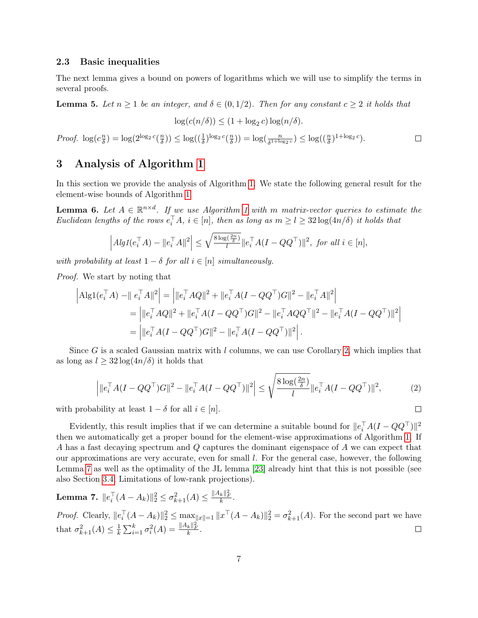#### 2.3 Basic inequalities

The next lemma gives a bound on powers of logarithms which we will use to simplify the terms in several proofs.

<span id="page-6-4"></span>**Lemma 5.** Let  $n \geq 1$  be an integer, and  $\delta \in (0, 1/2)$ . Then for any constant  $c \geq 2$  it holds that

$$
\log(c(n/\delta)) \le (1 + \log_2 c) \log(n/\delta).
$$

*Proof.*  $\log(c_{\overline{\lambda}}^n)$  $\frac{n}{\delta}) = \log(2^{\log_2 c} (\frac{n}{\delta}))$  $\frac{n}{\delta})$ )  $\leq \log((\frac{1}{\delta})^{\log_2 c} (\frac{n}{\delta}))$  $\left(\frac{n}{\delta}\right)$ ) =  $\log\left(\frac{n}{\delta^{1+\log_2 c}}\right) \leq \log\left(\left(\frac{n}{\delta}\right)^{1+\log_2 c}\right)$ .  $\Box$ 

# <span id="page-6-0"></span>3 Analysis of Algorithm [1](#page-3-0)

In this section we provide the analysis of Algorithm [1.](#page-3-0) We state the following general result for the element-wise bounds of Algorithm [1.](#page-3-0)

<span id="page-6-2"></span>**Lemma 6.** Let  $A \in \mathbb{R}^{n \times d}$ . If we use Algorithm [1](#page-3-0) with m matrix-vector queries to estimate the Euclidean lengths of the rows  $e_i^{\top} A$ ,  $i \in [n]$ , then as long as  $m \geq l \geq 32 \log(4n/\delta)$  it holds that

$$
\left| Alg1(e_i^\top A) - \|e_i^\top A\|^2 \right| \le \sqrt{\frac{8\log(\frac{2n}{\delta})}{l}} \|e_i^\top A (I - QQ^\top)\|^2, \text{ for all } i \in [n],
$$

with probability at least  $1 - \delta$  for all  $i \in [n]$  simultaneously.

Proof. We start by noting that

$$
\begin{aligned}\n\left|\text{Alg1}(e_i^{\top}A) - \|e_i^{\top}A\|^2\right| &= \left|\|e_i^{\top}AQ\|^2 + \|e_i^{\top}A(I - QQ^{\top})G\|^2 - \|e_i^{\top}A\|^2\right| \\
&= \left|\|e_i^{\top}AQ\|^2 + \|e_i^{\top}A(I - QQ^{\top})G\|^2 - \|e_i^{\top}AQQ^{\top}\|^2 - \|e_i^{\top}A(I - QQ^{\top})\|^2\right| \\
&= \left|\|e_i^{\top}A(I - QQ^{\top})G\|^2 - \|e_i^{\top}A(I - QQ^{\top})\|^2\right|.\n\end{aligned}
$$

Since G is a scaled Gaussian matrix with  $l$  columns, we can use Corollary [2,](#page-4-0) which implies that as long as  $l \geq 32 \log(4n/\delta)$  it holds that

$$
\left| \|e_i^{\top} A (I - Q Q^{\top}) G\|^2 - \|e_i^{\top} A (I - Q Q^{\top})\|^2 \right| \le \sqrt{\frac{8 \log(\frac{2n}{\delta})}{l}} \|e_i^{\top} A (I - Q Q^{\top})\|^2,\tag{2}
$$

<span id="page-6-3"></span> $\Box$ 

with probability at least  $1 - \delta$  for all  $i \in [n]$ .

Evidently, this result implies that if we can determine a suitable bound for  $||e_i^{\top}A(I - QQ^{\top})||^2$ then we automatically get a proper bound for the element-wise approximations of Algorithm [1.](#page-3-0) If A has a fast decaying spectrum and Q captures the dominant eigenspace of A we can expect that our approximations are very accurate, even for small l. For the general case, however, the following Lemma [7](#page-6-1) as well as the optimality of the JL lemma [\[23\]](#page-20-10) already hint that this is not possible (see also Section [3.4,](#page-12-0) Limitations of low-rank projections).

<span id="page-6-1"></span>**Lemma 7.** 
$$
||e_i^\top (A - A_k)||_2^2 \leq \sigma_{k+1}^2(A) \leq \frac{||A_k||_F^2}{k}.
$$

*Proof.* Clearly,  $||e_i^{\top}(A - A_k)||_2^2 \leq \max_{||x|| = 1} ||x^{\top}(A - A_k)||_2^2 = \sigma_{k+1}^2(A)$ . For the second part we have  $\frac{1}{k}\sum_{i=1}^k \sigma_i^2(A) = \frac{\|A_k\|_F^2}{k}.$ that  $\sigma_{k+1}^2(A) \leq \frac{1}{k}$  $\Box$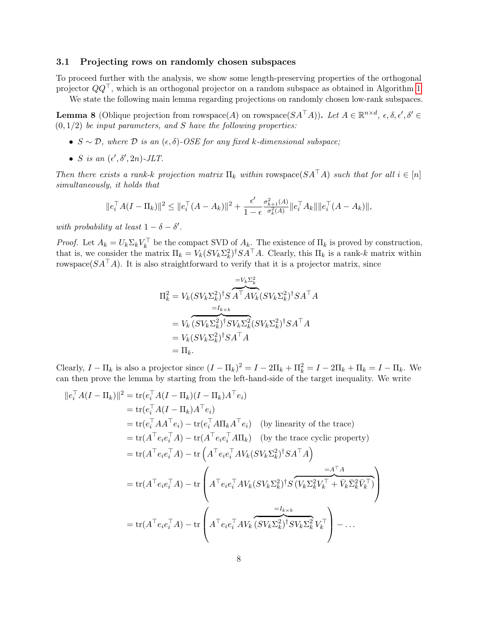#### 3.1 Projecting rows on randomly chosen subspaces

To proceed further with the analysis, we show some length-preserving properties of the orthogonal projector  $QQ^{\top}$ , which is an orthogonal projector on a random subspace as obtained in Algorithm [1.](#page-3-0) We state the following main lemma regarding projections on randomly chosen low-rank subspaces.

<span id="page-7-0"></span>**Lemma 8** (Oblique projection from rowspace(A) on rowspace( $SA^{\top}A$ )). Let  $A \in \mathbb{R}^{n \times d}$ ,  $\epsilon, \delta, \epsilon', \delta' \in$  $(0, 1/2)$  be input parameters, and S have the following properties:

- $S \sim \mathcal{D}$ , where  $\mathcal{D}$  is an  $(\epsilon, \delta)$ -OSE for any fixed k-dimensional subspace;
- *S* is an  $(\epsilon', \delta', 2n)$ -JLT.

Then there exists a rank-k projection matrix  $\Pi_k$  within rowspace( $SA^{\top}A$ ) such that for all  $i \in [n]$ simultaneously, it holds that

$$
||e_i^{\top} A (I - \Pi_k)||^2 \le ||e_i^{\top} (A - A_k)||^2 + \frac{\epsilon'}{1 - \epsilon} \frac{\sigma_{k+1}^2(A)}{\sigma_k^2(A)} ||e_i^{\top} A_k|| ||e_i^{\top} (A - A_k)||,
$$

with probability at least  $1 - \delta - \delta'$ .

*Proof.* Let  $A_k = U_k \Sigma_k V_k^{\top}$  be the compact SVD of  $A_k$ . The existence of  $\Pi_k$  is proved by construction, that is, we consider the matrix  $\Pi_k = V_k (SV_k \Sigma_k^2)^{\dagger} SA^{\top} A$ . Clearly, this  $\Pi_k$  is a rank-k matrix within rowspace( $SA^{\dagger}A$ ). It is also straightforward to verify that it is a projector matrix, since

$$
\Pi_k^2 = V_k (SV_k \Sigma_k^2)^\dagger S \overbrace{A^\top A V_k}^{=V_k \Sigma_k^2} (SV_k \Sigma_k^2)^\dagger S A^\top A
$$
\n
$$
= V_k \overbrace{(SV_k \Sigma_k^2)^\dagger SV_k \Sigma_k^2}^{=I_{k \times k}} (SV_k \Sigma_k^2)^\dagger S A^\top A
$$
\n
$$
= V_k (SV_k \Sigma_k^2)^\dagger S A^\top A
$$
\n
$$
= \Pi_k.
$$

Clearly,  $I - \Pi_k$  is also a projector since  $(I - \Pi_k)^2 = I - 2\Pi_k + \Pi_k^2 = I - 2\Pi_k + \Pi_k = I - \Pi_k$ . We can then prove the lemma by starting from the left-hand-side of the target inequality. We write

$$
||e_i^{\top} A (I - \Pi_k)||^2 = \text{tr}(e_i^{\top} A (I - \Pi_k)(I - \Pi_k) A^{\top} e_i)
$$
  
\n
$$
= \text{tr}(e_i^{\top} A (I - \Pi_k) A^{\top} e_i)
$$
  
\n
$$
= \text{tr}(e_i^{\top} A A^{\top} e_i) - \text{tr}(e_i^{\top} A \Pi_k A^{\top} e_i) \quad \text{(by linearity of the trace)}
$$
  
\n
$$
= \text{tr}(A^{\top} e_i e_i^{\top} A) - \text{tr}(A^{\top} e_i e_i^{\top} A \Pi_k) \quad \text{(by the trace cyclic property)}
$$
  
\n
$$
= \text{tr}(A^{\top} e_i e_i^{\top} A) - \text{tr}(A^{\top} e_i e_i^{\top} A V_k (S V_k \Sigma_k^2)^{\dagger} S A^{\top} A)
$$
  
\n
$$
= \text{tr}(A^{\top} e_i e_i^{\top} A) - \text{tr}(A^{\top} e_i e_i^{\top} A V_k (S V_k \Sigma_k^2)^{\dagger} S (\overline{V_k \Sigma_k^2 V_k^{\top}} + \overline{V_k} \overline{\Sigma_k^2 V_k^{\top}})
$$
  
\n
$$
= \text{tr}(A^{\top} e_i e_i^{\top} A) - \text{tr}(A^{\top} e_i e_i^{\top} A V_k \overline{S V_k \Sigma_k^2})^{\dagger} S V_k \Sigma_k^2 V_k^{\top}
$$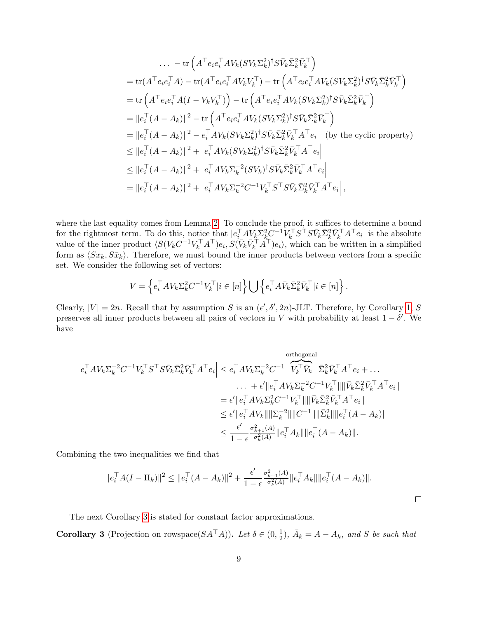$$
\begin{split}\n&\dots - \text{tr}\left(A^{\top}e_{i}e_{i}^{\top}A V_{k}(SV_{k}\Sigma_{k}^{2})^{\dagger}S\bar{V}_{k}\bar{\Sigma}_{k}^{2}\bar{V}_{k}^{\top}\right) \\
&= \text{tr}(A^{\top}e_{i}e_{i}^{\top}A) - \text{tr}(A^{\top}e_{i}e_{i}^{\top}AV_{k}V_{k}^{\top}) - \text{tr}\left(A^{\top}e_{i}e_{i}^{\top}AV_{k}(SV_{k}\Sigma_{k}^{2})^{\dagger}S\bar{V}_{k}\bar{\Sigma}_{k}^{2}\bar{V}_{k}^{\top}\right) \\
&= \text{tr}\left(A^{\top}e_{i}e_{i}^{\top}A(I-V_{k}V_{k}^{\top})\right) - \text{tr}\left(A^{\top}e_{i}e_{i}^{\top}AV_{k}(SV_{k}\Sigma_{k}^{2})^{\dagger}S\bar{V}_{k}\bar{\Sigma}_{k}^{2}\bar{V}_{k}^{\top}\right) \\
&= \|e_{i}^{\top}(A-A_{k})\|^{2} - \text{tr}\left(A^{\top}e_{i}e_{i}^{\top}AV_{k}(SV_{k}\Sigma_{k}^{2})^{\dagger}S\bar{V}_{k}\bar{\Sigma}_{k}^{2}\bar{V}_{k}^{\top}\right) \\
&= \|e_{i}^{\top}(A-A_{k})\|^{2} - e_{i}^{\top}AV_{k}(SV_{k}\Sigma_{k}^{2})^{\dagger}S\bar{V}_{k}\bar{\Sigma}_{k}^{2}\bar{V}_{k}^{\top}A^{\top}e_{i} \quad \text{(by the cyclic property)} \\
&\leq \|e_{i}^{\top}(A-A_{k})\|^{2} + \left|e_{i}^{\top}AV_{k}(SV_{k}\Sigma_{k}^{2})^{\dagger}S\bar{V}_{k}\bar{\Sigma}_{k}^{2}\bar{V}_{k}^{\top}A^{\top}e_{i}\right| \\
&\leq \|e_{i}^{\top}(A-A_{k})\|^{2} + \left|e_{i}^{\top}AV_{k}\Sigma_{k}^{-2}(SV_{k})^{\dagger}S\bar{V}_{k}\bar{\Sigma}_{k}^{2}\bar{V}_{k}^{\top}A^{\top}e_{i}\right| \\
&= \|e_{i}^{\top}(A-A_{k})\|^{2} + \left|e_{i}^{\top}AV_{k}\Sigma_{k
$$

where the last equality comes from Lemma [2.](#page-4-1) To conclude the proof, it suffices to determine a bound for the rightmost term. To do this, notice that  $|e_i^\top A V_k \Sigma_k^2 C^{-1} V_k^\top S^\top S \bar{V}_k \bar{\Sigma}_k^2 \bar{V}_k^\top A^\top e_i|$  is the absolute value of the inner product  $\langle S(V_kC^{-1}V_k^{\top}A^{\top})e_i, S(\bar{V}_k\bar{V}_k^{\top}A^{\top})e_i \rangle$ , which can be written in a simplified form as  $\langle Sx_k, S\bar{x}_k\rangle$ . Therefore, we must bound the inner products between vectors from a specific set. We consider the following set of vectors:

$$
V = \left\{ e_i^{\top} A V_k \Sigma_k^2 C^{-1} V_k^{\top} | i \in [n] \right\} \bigcup \left\{ e_i^{\top} A \bar{V}_k \bar{\Sigma}_k^2 \bar{V}_k^{\top} | i \in [n] \right\}.
$$

Clearly,  $|V| = 2n$ . Recall that by assumption S is an  $(\epsilon', \delta', 2n)$ -JLT. Therefore, by Corollary [1,](#page-4-2) S preserves all inner products between all pairs of vectors in V with probability at least  $1 - \delta'$ . We have

$$
\begin{split} \left| e_i^{\top} A V_k \Sigma_k^{-2} C^{-1} V_k^{\top} S^{\top} S \bar{V}_k \bar{\Sigma}_k^2 \bar{V}_k^{\top} A^{\top} e_i \right| &\leq e_i^{\top} A V_k \Sigma_k^{-2} C^{-1} \underbrace{\widetilde{V}_k^{\top} \bar{V}_k}_{\cdot} \bar{\Sigma}_k^2 \bar{V}_k^{\top} A^{\top} e_i + \dots \\ &\qquad \qquad \dots \quad + \epsilon' \| e_i^{\top} A V_k \Sigma_k^{-2} C^{-1} V_k^{\top} \| \| \bar{V}_k \bar{\Sigma}_k^2 \bar{V}_k^{\top} A^{\top} e_i \| \\ &\leq \epsilon' \| e_i^{\top} A V_k \Sigma_k^2 C^{-1} V_k^{\top} \| \| \bar{V}_k \bar{\Sigma}_k^2 \bar{V}_k^{\top} A^{\top} e_i \| \\ &\leq \epsilon' \| e_i^{\top} A V_k \| \| \Sigma_k^{-2} \| \| C^{-1} \| \| \bar{\Sigma}_k^2 \| \| e_i^{\top} (A - A_k) \| \\ &\leq \frac{\epsilon'}{1 - \epsilon} \frac{\sigma_{k+1}^2(A)}{\sigma_k^2(A)} \| e_i^{\top} A_k \| \| e_i^{\top} (A - A_k) \| . \end{split}
$$

Combining the two inequalities we find that

$$
||e_i^{\top} A (I - \Pi_k)||^2 \le ||e_i^{\top} (A - A_k)||^2 + \frac{\epsilon'}{1 - \epsilon} \frac{\sigma_{k+1}^2(A)}{\sigma_k^2(A)} ||e_i^{\top} A_k|| ||e_i^{\top} (A - A_k)||.
$$

 $\Box$ 

The next Corollary [3](#page-8-0) is stated for constant factor approximations.

<span id="page-8-0"></span>**Corollary 3** (Projection on rowspace( $SA^{\top}A$ )). Let  $\delta \in (0, \frac{1}{2})$  $(\frac{1}{2})$ ,  $\bar{A}_k = A - A_k$ , and S be such that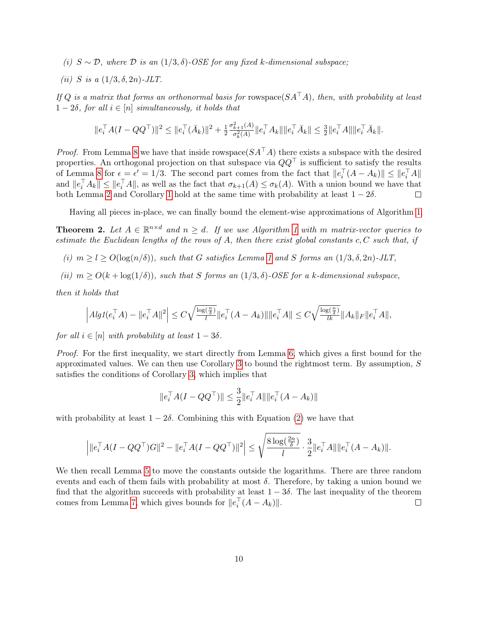- (i)  $S \sim \mathcal{D}$ , where  $\mathcal D$  is an  $(1/3, \delta)$ -OSE for any fixed k-dimensional subspace;
- (*ii*) S is a  $(1/3, \delta, 2n)$ -JLT.

If Q is a matrix that forms an orthonormal basis for rowspace( $SA^{\top}A$ ), then, with probability at least  $1-2\delta$ , for all  $i \in [n]$  simultaneously, it holds that

$$
||e_i^\top A (I - QQ^\top)||^2 \leq ||e_i^\top (\bar{A}_k)||^2 + \frac{1}{2} \frac{\sigma_{k+1}^2(A)}{\sigma_k^2(A)} ||e_i^\top A_k|| ||e_i^\top \bar{A}_k|| \leq \frac{3}{2} ||e_i^\top A|| ||e_i^\top \bar{A}_k||.
$$

*Proof.* From Lemma [8](#page-7-0) we have that inside rowspace( $SA^{\dagger}A$ ) there exists a subspace with the desired properties. An orthogonal projection on that subspace via  $QQ^{\top}$  is sufficient to satisfy the results of Lemma [8](#page-7-0) for  $\epsilon = \epsilon' = 1/3$ . The second part comes from the fact that  $||e_i^{\top}(A - A_k)|| \leq ||e_i^{\top}A||$ and  $||e_i^{\top} A_k|| \le ||e_i^{\top} A||$ , as well as the fact that  $\sigma_{k+1}(A) \le \sigma_k(A)$ . With a union bound we have that both Lemma [2](#page-4-1) and Corollary [1](#page-4-2) hold at the same time with probability at least  $1 - 2\delta$ .  $\Box$ 

Having all pieces in-place, we can finally bound the element-wise approximations of Algorithm [1.](#page-3-0)

<span id="page-9-0"></span>**Theorem 2.** Let  $A \in \mathbb{R}^{n \times d}$  and  $n \geq d$ . If we use Algorithm [1](#page-3-0) with m matrix-vector queries to estimate the Euclidean lengths of the rows of A, then there exist global constants  $c, C$  such that, if

- (i)  $m \ge l \ge O(\log(n/\delta))$ , such that G satisfies Lemma [1](#page-1-0) and S forms an  $(1/3, \delta, 2n)$ -JLT,
- (ii)  $m > O(k + \log(1/\delta))$ , such that S forms an  $(1/3, \delta)$ -OSE for a k-dimensional subspace.

then it holds that

$$
\left|Alg1(e_i^\top A) - \|e_i^\top A\|^2\right| \leq C\sqrt{\tfrac{\log(\frac{n}{\delta})}{l}}\|e_i^\top (A-A_k)\|\|e_i^\top A\| \leq C\sqrt{\tfrac{\log(\frac{n}{\delta})}{lk}}\|A_k\|_F\|e_i^\top A\|,
$$

for all  $i \in [n]$  with probability at least  $1 - 3\delta$ .

Proof. For the first inequality, we start directly from Lemma [6,](#page-6-2) which gives a first bound for the approximated values. We can then use Corollary [3](#page-8-0) to bound the rightmost term. By assumption, S satisfies the conditions of Corollary [3,](#page-8-0) which implies that

$$
||e_i^{\top} A (I - Q Q^{\top})|| \leq \frac{3}{2} ||e_i^{\top} A|| ||e_i^{\top} (A - A_k)||
$$

with probability at least  $1 - 2\delta$ . Combining this with Equation [\(2\)](#page-6-3) we have that

$$
\left| \|e_i^{\top} A (I - Q Q^{\top}) G \|^2 - \|e_i^{\top} A (I - Q Q^{\top}) \|^2 \right| \leq \sqrt{\frac{8 \log(\frac{2n}{\delta})}{l}} \cdot \frac{3}{2} \|e_i^{\top} A\| \|e_i^{\top} (A - A_k)\|.
$$

We then recall Lemma [5](#page-6-4) to move the constants outside the logarithms. There are three random events and each of them fails with probability at most  $\delta$ . Therefore, by taking a union bound we find that the algorithm succeeds with probability at least  $1 - 3\delta$ . The last inequality of the theorem comes from Lemma [7,](#page-6-1) which gives bounds for  $||e_i^{\top}(A - A_k)||$ .  $\Box$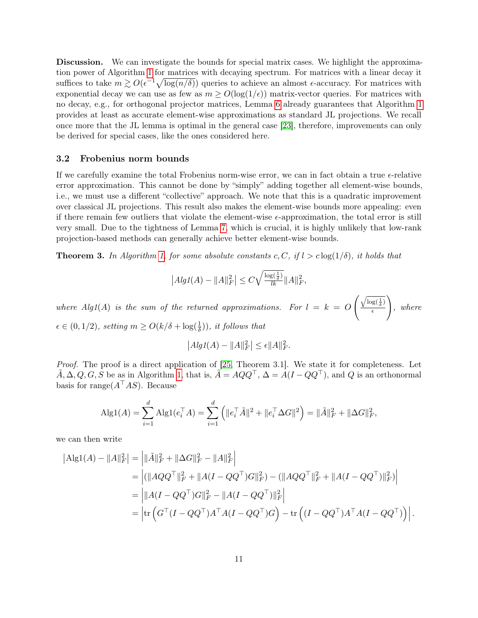Discussion. We can investigate the bounds for special matrix cases. We highlight the approximation power of Algorithm [1](#page-3-0) for matrices with decaying spectrum. For matrices with a linear decay it suffices to take  $m \gtrsim O(\epsilon^{-1}\sqrt{\log(n/\delta)})$  queries to achieve an almost  $\epsilon$ -accuracy. For matrices with exponential decay we can use as few as  $m \geq O(\log(1/\epsilon))$  matrix-vector queries. For matrices with no decay, e.g., for orthogonal projector matrices, Lemma [6](#page-6-2) already guarantees that Algorithm [1](#page-3-0) provides at least as accurate element-wise approximations as standard JL projections. We recall once more that the JL lemma is optimal in the general case [\[23\]](#page-20-10), therefore, improvements can only be derived for special cases, like the ones considered here.

#### 3.2 Frobenius norm bounds

If we carefully examine the total Frobenius norm-wise error, we can in fact obtain a true  $\epsilon$ -relative error approximation. This cannot be done by "simply" adding together all element-wise bounds, i.e., we must use a different "collective" approach. We note that this is a quadratic improvement over classical JL projections. This result also makes the element-wise bounds more appealing: even if there remain few outliers that violate the element-wise  $\epsilon$ -approximation, the total error is still very small. Due to the tightness of Lemma [7,](#page-6-1) which is crucial, it is highly unlikely that low-rank projection-based methods can generally achieve better element-wise bounds.

<span id="page-10-0"></span>**Theorem 3.** In Algorithm [1,](#page-3-0) for some absolute constants c, C, if  $l > c \log(1/\delta)$ , it holds that

$$
|AlgI(A) - ||A||_F^2| \leq C\sqrt{\frac{\log(\frac{1}{\delta})}{lk}} ||A||_F^2,
$$

where Alg1(A) is the sum of the returned approximations. For  $l = k = 0$  $\left(\sqrt{\log(\frac{1}{\delta})}\right)$  $\epsilon$  $\setminus$ , where  $\epsilon \in (0, 1/2)$ , setting  $m \ge O(k/\delta + \log(\frac{1}{\delta}))$ , it follows that

$$
\left| Alg1(A) - ||A||_F^2 \right| \le \epsilon ||A||_F^2.
$$

Proof. The proof is a direct application of [\[25,](#page-20-0) Theorem 3.1]. We state it for completeness. Let  $\tilde{A}, \Delta, Q, G, S$  be as in Algorithm [1,](#page-3-0) that is,  $\tilde{A} = AQQ^{\top}$ ,  $\Delta = A(I - QQ^{\top})$ , and Q is an orthonormal basis for range $(A^{\top}AS)$ . Because

$$
Alg1(A) = \sum_{i=1}^{d} Alg1(e_i^{\top} A) = \sum_{i=1}^{d} (||e_i^{\top} \tilde{A}||^2 + ||e_i^{\top} \Delta G||^2) = ||\tilde{A}||_F^2 + ||\Delta G||_F^2,
$$

we can then write

$$
|\text{Alg1}(A) - \|A\|_F^2| = \left| \|\tilde{A}\|_F^2 + \|\Delta G\|_F^2 - \|A\|_F^2 \right|
$$
  
\n
$$
= \left| (\|AQQ^\top\|_F^2 + \|A(I - QQ^\top)G\|_F^2) - (\|AQQ^\top\|_F^2 + \|A(I - QQ^\top)\|_F^2) \right|
$$
  
\n
$$
= \left| \|A(I - QQ^\top)G\|_F^2 - \|A(I - QQ^\top)\|_F^2 \right|
$$
  
\n
$$
= \left| \text{tr}\left(G^\top (I - QQ^\top)A^\top A(I - QQ^\top)G\right) - \text{tr}\left((I - QQ^\top)A^\top A(I - QQ^\top)\right) \right|.
$$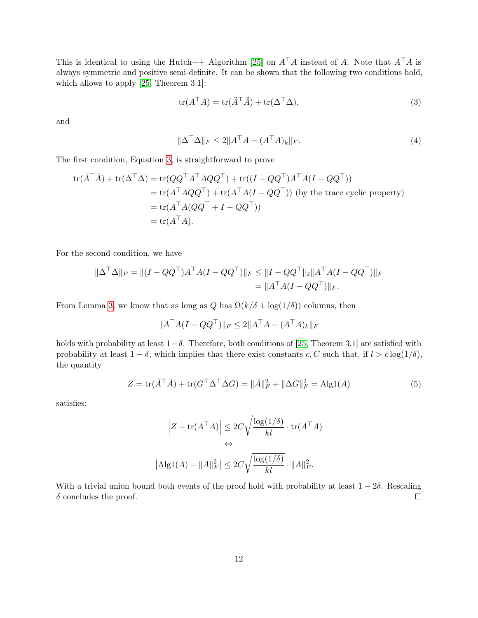This is identical to using the Hutch++ Algorithm [\[25\]](#page-20-0) on  $A^{\top}A$  instead of A. Note that  $A^{\top}A$  is always symmetric and positive semi-definite. It can be shown that the following two conditions hold, which allows to apply [\[25,](#page-20-0) Theorem 3.1]:

<span id="page-11-0"></span>
$$
tr(A^{\top}A) = tr(\tilde{A}^{\top}\tilde{A}) + tr(\Delta^{\top}\Delta),
$$
\n(3)

and

$$
\|\Delta^{\top}\Delta\|_F \le 2\|A^{\top}A - (A^{\top}A)_k\|_F. \tag{4}
$$

The first condition, Equation [3,](#page-11-0) is straightforward to prove

$$
\operatorname{tr}(\tilde{A}^{\top}\tilde{A}) + \operatorname{tr}(\Delta^{\top}\Delta) = \operatorname{tr}(QQ^{\top}A^{\top}AQQ^{\top}) + \operatorname{tr}((I - QQ^{\top})A^{\top}A(I - QQ^{\top}))
$$
  
\n
$$
= \operatorname{tr}(A^{\top}AQQ^{\top}) + \operatorname{tr}(A^{\top}A(I - QQ^{\top})) \text{ (by the trace cyclic property)}
$$
  
\n
$$
= \operatorname{tr}(A^{\top}A(QQ^{\top} + I - QQ^{\top}))
$$
  
\n
$$
= \operatorname{tr}(A^{\top}A).
$$

For the second condition, we have

$$
\|\Delta^{\top}\Delta\|_{F} = \|(I - QQ^{\top})A^{\top}A(I - QQ^{\top})\|_{F} \le \|I - QQ^{\top}\|_{2}\|A^{\top}A(I - QQ^{\top})\|_{F}
$$

$$
= \|A^{\top}A(I - QQ^{\top})\|_{F}.
$$

From Lemma [3,](#page-4-3) we know that as long as Q has  $\Omega(k/\delta + \log(1/\delta))$  columns, then

$$
||A^{\top}A(I - QQ^{\top})||_F \le 2||A^{\top}A - (A^{\top}A)_k||_F
$$

holds with probability at least  $1-\delta$ . Therefore, both conditions of [\[25,](#page-20-0) Theorem 3.1] are satisfied with probability at least  $1 - \delta$ , which implies that there exist constants c, C such that, if  $l > c \log(1/\delta)$ , the quantity

$$
Z = \text{tr}(\tilde{A}^\top \tilde{A}) + \text{tr}(G^\top \Delta^\top \Delta G) = \|\tilde{A}\|_F^2 + \|\Delta G\|_F^2 = \text{Alg1}(A)
$$
\n<sup>(5)</sup>

satisfies:

$$
\left| Z - \text{tr}(A^{\top} A) \right| \leq 2C \sqrt{\frac{\log(1/\delta)}{kl}} \cdot \text{tr}(A^{\top} A)
$$
  

$$
\Leftrightarrow
$$
  

$$
|\text{Alg1}(A) - \|A\|_F^2 \leq 2C \sqrt{\frac{\log(1/\delta)}{kl}} \cdot \|A\|_F^2.
$$

With a trivial union bound both events of the proof hold with probability at least  $1 - 2\delta$ . Rescaling  $\delta$  concludes the proof.  $\Box$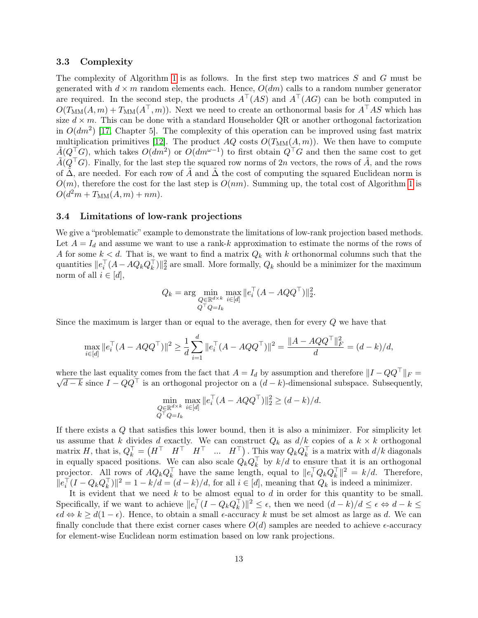#### 3.3 Complexity

The complexity of Algorithm [1](#page-3-0) is as follows. In the first step two matrices  $S$  and  $G$  must be generated with  $d \times m$  random elements each. Hence,  $O(dm)$  calls to a random number generator are required. In the second step, the products  $A^{\dagger}(AS)$  and  $A^{\dagger}(AG)$  can be both computed in  $O(T_{\text{MM}}(A, m) + T_{\text{MM}}(A^{\top}, m))$ . Next we need to create an orthonormal basis for  $A^{\top}AS$  which has size  $d \times m$ . This can be done with a standard Householder QR or another orthogonal factorization in  $O(dm^2)$  [\[17,](#page-19-10) Chapter 5]. The complexity of this operation can be improved using fast matrix multiplication primitives [\[12\]](#page-19-11). The product  $AQ$  costs  $O(T<sub>MM</sub>(A, m))$ . We then have to compute  $\tilde{A}(Q^{\dagger}G)$ , which takes  $O(dm^2)$  or  $O(dm^{\omega-1})$  to first obtain  $Q^{\dagger}G$  and then the same cost to get  $\tilde{A}(Q^{\top}G)$ . Finally, for the last step the squared row norms of 2n vectors, the rows of  $\tilde{A}$ , and the rows of  $\Delta$ , are needed. For each row of A and  $\Delta$  the cost of computing the squared Euclidean norm is  $O(m)$ , therefore the cost for the last step is  $O(nm)$ . Summing up, the total cost of Algorithm [1](#page-3-0) is  $O(d^{2}m + T_{MM}(A, m) + nm).$ 

#### <span id="page-12-0"></span>3.4 Limitations of low-rank projections

We give a "problematic" example to demonstrate the limitations of low-rank projection based methods. Let  $A = I_d$  and assume we want to use a rank-k approximation to estimate the norms of the rows of A for some  $k < d$ . That is, we want to find a matrix  $Q_k$  with k orthonormal columns such that the quantities  $||e_i^{\top}(A - AQ_kQ_k^{\top})||_2^2$  are small. More formally,  $Q_k$  should be a minimizer for the maximum norm of all  $i \in [d]$ ,

$$
Q_k = \arg\min_{\substack{Q \in \mathbb{R}^{d \times k} \\ Q^\top Q = I_k}} \max_{i \in [d]} \|e_i^\top (A - AQQ^\top)\|_2^2.
$$

Since the maximum is larger than or equal to the average, then for every Q we have that

$$
\max_{i \in [d]} \|e_i^\top (A - A Q Q^\top)\|^2 \ge \frac{1}{d} \sum_{i=1}^d \|e_i^\top (A - A Q Q^\top)\|^2 = \frac{\|A - A Q Q^\top\|^2_F}{d} = (d - k)/d,
$$

where the last equality comes from the fact that  $A = I_d$  by assumption and therefore  $||I - QQ^{\top}||_F =$  $\sqrt{d-k}$  since  $I - QQ^{\top}$  is an orthogonal projector on a  $(d-k)$ -dimensional subspace. Subsequently,

$$
\min_{\substack{Q \in \mathbb{R}^{d \times k} \\ Q^\top Q = I_k}} \max_{i \in [d]} \|e_i^\top (A - A Q Q^\top)\|_2^2 \ge (d - k)/d.
$$

If there exists a Q that satisfies this lower bound, then it is also a minimizer. For simplicity let us assume that k divides d exactly. We can construct  $Q_k$  as  $d/k$  copies of a  $k \times k$  orthogonal matrix H, that is,  $Q_k^{\top} = \begin{pmatrix} H^{\top} & H^{\top} & \dots & H^{\top} \end{pmatrix}$ . This way  $Q_k Q_k^{\top}$  is a matrix with  $d/k$  diagonals in equally spaced positions. We can also scale  $\hat{Q}_k Q_k^{\top}$  by  $k/d$  to ensure that it is an orthogonal projector. All rows of  $AQ_kQ_k^{\top}$  have the same length, equal to  $||e_i^{\top}Q_kQ_k^{\top}||^2 = k/d$ . Therefore,  $||e_i^{\top}(I - Q_k Q_k^{\top})||^2 = 1 - k/d = (d - k)/d$ , for all  $i \in [d]$ , meaning that  $Q_k$  is indeed a minimizer.

It is evident that we need  $k$  to be almost equal to  $d$  in order for this quantity to be small. Specifically, if we want to achieve  $||e_i^{\top}(I - Q_k Q_k^{\top})||^2 \leq \epsilon$ , then we need  $(d-k)/d \leq \epsilon \Leftrightarrow d-k \leq$  $\epsilon d \Leftrightarrow k \geq d(1-\epsilon)$ . Hence, to obtain a small  $\epsilon$ -accuracy k must be set almost as large as d. We can finally conclude that there exist corner cases where  $O(d)$  samples are needed to achieve  $\epsilon$ -accuracy for element-wise Euclidean norm estimation based on low rank projections.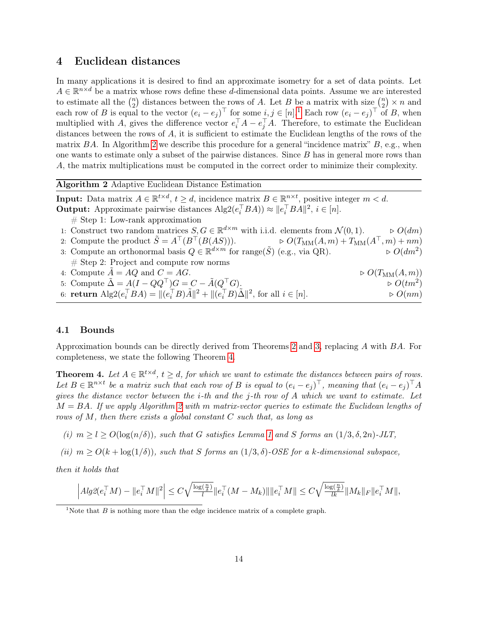### <span id="page-13-2"></span>4 Euclidean distances

In many applications it is desired to find an approximate isometry for a set of data points. Let  $A \in \mathbb{R}^{n \times d}$  be a matrix whose rows define these d-dimensional data points. Assume we are interested to estimate all the  $\binom{n}{2}$  $\binom{n}{2}$  distances between the rows of A. Let B be a matrix with size  $\binom{n}{2}$  $n \choose 2} \times n$  and each row of B is equal to the vector  $(e_i - e_j)^\top$  for some  $i, j \in [n]$ . Each row  $(e_i - e_j)^\top$  of B, when multiplied with A, gives the difference vector  $e_i^{\top}A - e_j^{\top}A$ . Therefore, to estimate the Euclidean distances between the rows of  $A$ , it is sufficient to estimate the Euclidean lengths of the rows of the matrix BA. In Algorithm [2](#page-13-0) we describe this procedure for a general "incidence matrix"  $B$ , e.g., when one wants to estimate only a subset of the pairwise distances. Since B has in general more rows than A, the matrix multiplications must be computed in the correct order to minimize their complexity.

<span id="page-13-0"></span>Algorithm 2 Adaptive Euclidean Distance Estimation

**Input:** Data matrix  $A \in \mathbb{R}^{t \times d}$ ,  $t \geq d$ , incidence matrix  $B \in \mathbb{R}^{n \times t}$ , positive integer  $m < d$ . **Output:** Approximate pairwise distances  $\text{Alg2}(e_i^{\top}BA) \approx ||e_i^{\top}BA||^2$ ,  $i \in [n]$ .

 $\#$  Step 1: Low-rank approximation

1: Construct two random matrices  $S, G \in \mathbb{R}^{d \times m}$  with i.i.d. elements from  $\mathcal{N}(0, 1)$ .  $\Rightarrow O(dm)$ 

- 2: Compute the product  $\tilde{S} = A^{\top}(B^{\top}(B(AS)))$ .  $\qquad \qquad \triangleright O(T_{\text{MM}}(A,m) + T_{\text{MM}}(A^{\top}, m) + nm)$
- 3: Compute an orthonormal basis  $Q \in \mathbb{R}^{d \times m}$  for range( $\tilde{S}$ ) (e.g., via QR).  $\triangleright$   $O(dm^2)$  $\triangleright$   $O(dm^2)$  $#$  Step 2: Project and compute row norms
- 4: Compute  $A = AQ$  and  $C = AG$ .  $\triangleright O(T_{\text{MM}}(A, m))$ 5: Compute  $\tilde{\Delta} = A(I - QQ^{\top})G = C - \tilde{A}(Q^{\top}G)$ .  $\qquad \qquad \triangleright O(tm^2)$  $\triangleright$   $O(tm^2)$
- 6: **return**  $\text{Alg2}(e_i^{\top}BA) = ||(e_i^{\top}B)\tilde{A}||^2 + ||(e_i^{\top}B)\tilde{\Delta}||^2$ , for all  $i \in [n]$ .  $\triangleright O(nm)$

### 4.1 Bounds

Approximation bounds can be directly derived from Theorems [2](#page-9-0) and [3,](#page-10-0) replacing A with BA. For completeness, we state the following Theorem [4.](#page-13-1)

<span id="page-13-1"></span>**Theorem 4.** Let  $A \in \mathbb{R}^{t \times d}$ ,  $t \geq d$ , for which we want to estimate the distances between pairs of rows. Let  $B \in \mathbb{R}^{n \times t}$  be a matrix such that each row of B is equal to  $(e_i - e_j)^\top$ , meaning that  $(e_i - e_j)^\top A$ gives the distance vector between the *i*-th and the *j*-th row of A which we want to estimate. Let  $M = BA$ . If we apply Algorithm [2](#page-13-0) with m matrix-vector queries to estimate the Euclidean lengths of rows of M, then there exists a global constant C such that, as long as

- (i)  $m > l > O(\log(n/\delta))$ , such that G satisfies Lemma [1](#page-1-0) and S forms an  $(1/3, \delta, 2n)$ -JLT,
- (ii)  $m > O(k + \log(1/\delta))$ , such that S forms an  $(1/3, \delta)$ -OSE for a k-dimensional subspace,

then it holds that

$$
\left|Alg2(e_i^\top M) - \|e_i^\top M\|^2\right| \le C\sqrt{\tfrac{\log(\frac{n}{\delta})}{l}}\|e_i^\top (M-M_k)\| \|e_i^\top M\| \le C\sqrt{\tfrac{\log(\frac{n}{\delta})}{lk}}\|M_k\|_F \|e_i^\top M\|,
$$

<span id="page-13-3"></span><sup>&</sup>lt;sup>1</sup>Note that  $B$  is nothing more than the edge incidence matrix of a complete graph.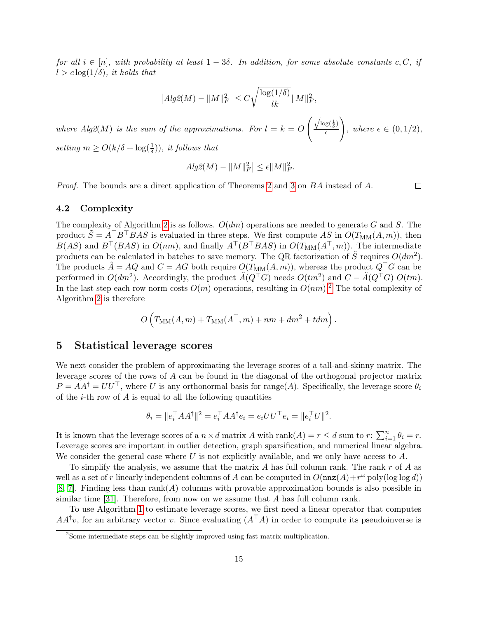for all  $i \in [n]$ , with probability at least  $1-3\delta$ . In addition, for some absolute constants c, C, if  $l > c \log(1/\delta)$ , it holds that

$$
|Alg2(M) - ||M||_F^2 \le C \sqrt{\frac{\log(1/\delta)}{lk}} ||M||_F^2,
$$

where  $Alg2(M)$  is the sum of the approximations. For  $l = k = O$  $\int \sqrt{\log(\frac{1}{\delta})}$  $\overline{\epsilon}$  $\setminus$ , where  $\epsilon \in (0,1/2)$ , setting  $m \geq O(k/\delta + \log(\frac{1}{\delta}))$ , it follows that

$$
\left| Alg2(M) - \|M\|_F^2 \right| \le \epsilon \|M\|_F^2.
$$

Proof. The bounds are a direct application of Theorems [2](#page-9-0) and [3](#page-10-0) on BA instead of A.

4.2 Complexity

The complexity of Algorithm [2](#page-13-0) is as follows.  $O(dm)$  operations are needed to generate G and S. The product  $\tilde{S} = A^{\top}B^{\top}BAS$  is evaluated in three steps. We first compute AS in  $O(T_{MM}(A,m))$ , then  $B(AS)$  and  $B^{\top}(BAS)$  in  $O(nm)$ , and finally  $A^{\top}(B^{\top}BAS)$  in  $O(T_{MM}(A^{\top}, m))$ . The intermediate products can be calculated in batches to save memory. The QR factorization of  $\tilde{S}$  requires  $O(dm^2)$ . The products  $\tilde{A} = AQ$  and  $C = AG$  both require  $O(T_{MM}(A, m))$ , whereas the product  $Q^{\top}G$  can be performed in  $O(dm^2)$ . Accordingly, the product  $\tilde{A}(Q^{\top}G)$  needs  $O(tm^2)$  and  $C - \tilde{A}(Q^{\top}G) O(tm)$ . In the last step each row norm costs  $O(m)$  operations, resulting in  $O(nm)$ .<sup>[2](#page-14-1)</sup> The total complexity of Algorithm [2](#page-13-0) is therefore

$$
O\left(T_{\text{MM}}(A,m) + T_{\text{MM}}(A^{\top},m) + nm + dm^2 + tdm\right).
$$

### <span id="page-14-0"></span>5 Statistical leverage scores

We next consider the problem of approximating the leverage scores of a tall-and-skinny matrix. The leverage scores of the rows of A can be found in the diagonal of the orthogonal projector matrix  $P = AA^{\dagger} = U U^{\top}$ , where U is any orthonormal basis for range(A). Specifically, the leverage score  $\theta_i$ of the  $i$ -th row of A is equal to all the following quantities

$$
\theta_i = \|e_i^{\top} A A^{\dagger}\|^2 = e_i^{\top} A A^{\dagger} e_i = e_i U U^{\top} e_i = \|e_i^{\top} U\|^2.
$$

It is known that the leverage scores of a  $n \times d$  matrix A with  $rank(A) = r \le d$  sum to  $r: \sum_{i=1}^{n} \theta_i = r$ . Leverage scores are important in outlier detection, graph sparsification, and numerical linear algebra. We consider the general case where U is not explicitly available, and we only have access to A.

To simplify the analysis, we assume that the matrix  $A$  has full column rank. The rank  $r$  of  $A$  as well as a set of r linearly independent columns of A can be computed in  $O(\mathtt{nnz}(A) + r^{\omega} \text{ poly}(\log \log d))$  $[8, 7]$  $[8, 7]$  $[8, 7]$ . Finding less than rank $(A)$  columns with provable approximation bounds is also possible in similar time [\[31\]](#page-20-12). Therefore, from now on we assume that A has full column rank.

To use Algorithm [1](#page-3-0) to estimate leverage scores, we first need a linear operator that computes  $AA^{\dagger}v$ , for an arbitrary vector v. Since evaluating  $(A^{\dagger}A)$  in order to compute its pseudoinverse is

 $\Box$ 

<span id="page-14-1"></span><sup>2</sup>Some intermediate steps can be slightly improved using fast matrix multiplication.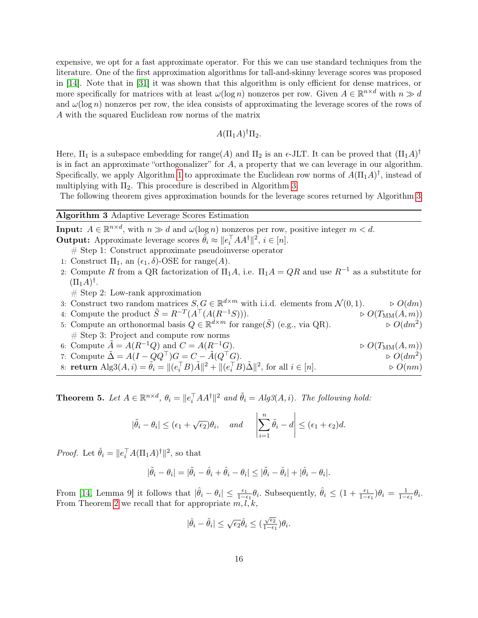expensive, we opt for a fast approximate operator. For this we can use standard techniques from the literature. One of the first approximation algorithms for tall-and-skinny leverage scores was proposed in [\[14\]](#page-19-14). Note that in [\[31\]](#page-20-12) it was shown that this algorithm is only efficient for dense matrices, or more specifically for matrices with at least  $\omega(\log n)$  nonzeros per row. Given  $A \in \mathbb{R}^{n \times d}$  with  $n \gg d$ and  $\omega(\log n)$  nonzeros per row, the idea consists of approximating the leverage scores of the rows of A with the squared Euclidean row norms of the matrix

$$
A(\Pi_1 A)^{\dagger} \Pi_2.
$$

Here,  $\Pi_1$  is a subspace embedding for range(A) and  $\Pi_2$  is an  $\epsilon$ -JLT. It can be proved that  $(\Pi_1 A)^{\dagger}$ is in fact an approximate "orthogonalizer" for  $A$ , a property that we can leverage in our algorithm. Specifically, we apply Algorithm [1](#page-3-0) to approximate the Euclidean row norms of  $A(\Pi_1 A)^{\dagger}$ , instead of multiplying with  $\Pi_2$ . This procedure is described in Algorithm [3.](#page-15-0)

The following theorem gives approximation bounds for the leverage scores returned by Algorithm [3.](#page-15-0)

### <span id="page-15-0"></span>Algorithm 3 Adaptive Leverage Scores Estimation

**Input:**  $A \in \mathbb{R}^{n \times d}$ , with  $n \gg d$  and  $\omega(\log n)$  nonzeros per row, positive integer  $m < d$ . **Output:** Approximate leverage scores  $\tilde{\theta}_i \approx ||e_i^{\top} A A^{\dagger}||^2$ ,  $i \in [n]$ .

# Step 1: Construct approximate pseudoinverse operator

- 1: Construct  $\Pi_1$ , an  $(\epsilon_1, \delta)$ -OSE for range $(A)$ .
- 2: Compute R from a QR factorization of  $\Pi_1 A$ , i.e.  $\Pi_1 A = QR$  and use  $R^{-1}$  as a substitute for  $(\Pi_1 A)^{\dagger}$ .
	- $#$  Step 2: Low-rank approximation
- 3: Construct two random matrices  $S, G \in \mathbb{R}^{d \times m}$  with i.i.d. elements from  $\mathcal{N}(0, 1)$ .  $\Rightarrow O(dm)$
- 4: Compute the product  $\tilde{S} = R^{-T}(A^{\top}(A(R^{-1}S)))$ .  $\triangleright O(T_{\text{MM}}(A,m))$
- 5: Compute an orthonormal basis  $Q \in \mathbb{R}^{d \times m}$  for range( $\tilde{S}$ ) (e.g., via QR).  $\triangleright O(dm^2)$  $\triangleright$   $O(dm^2)$  $#$  Step 3: Project and compute row norms
- 6: Compute  $\tilde{A} = A(R^{-1}Q)$  and  $C = A(R^{-1}G)$ .  $\triangleright O(T_{\text{MM}}(A, m))$ 7: Compute  $\tilde{\Delta} = A(I - QQ^{\top})G = C - \tilde{A}(Q^{\top}G)$ .  $\triangleright$   $O(dm^2)$ 8: **return**  $\text{Alg3}(A, i) = \tilde{\theta}_i = ||(e_i^\top B)\tilde{A}||^2 + ||(e_i^\top B)\tilde{\Delta}||^2$ , for all  $i \in [n]$ .  $\Rightarrow O(nm)$

<span id="page-15-1"></span>**Theorem 5.** Let  $A \in \mathbb{R}^{n \times d}$ ,  $\theta_i = ||e_i^{\top} A A^{\dagger}||^2$  and  $\tilde{\theta}_i = Alg\mathcal{R}(A, i)$ . The following hold:

$$
|\tilde{\theta}_i - \theta_i| \le (\epsilon_1 + \sqrt{\epsilon_2})\theta_i
$$
, and  $\left|\sum_{i=1}^n \tilde{\theta}_i - d\right| \le (\epsilon_1 + \epsilon_2)d$ .

*Proof.* Let  $\hat{\theta}_i = ||e_i^\top A(\Pi_1 A)^\dagger||^2$ , so that

$$
|\tilde{\theta}_i - \theta_i| = |\tilde{\theta}_i - \hat{\theta}_i + \hat{\theta}_i - \theta_i| \leq |\tilde{\theta}_i - \hat{\theta}_i| + |\hat{\theta}_i - \theta_i|.
$$

From [\[14,](#page-19-14) Lemma 9] it follows that  $|\hat{\theta}_i - \theta_i| \leq \frac{\epsilon_1}{1 - \epsilon_1} \theta_i$ . Subsequently,  $\hat{\theta}_i \leq (1 + \frac{\epsilon_1}{1 - \epsilon_1}) \theta_i = \frac{1}{1 - \epsilon_1} \theta_i$ . From Theorem [2](#page-9-0) we recall that for appropriate  $m, l, k$ ,

$$
|\hat{\theta}_i - \tilde{\theta}_i| \leq \sqrt{\epsilon_2} \hat{\theta}_i \leq (\tfrac{\sqrt{\epsilon_2}}{1-\epsilon_1}) \theta_i.
$$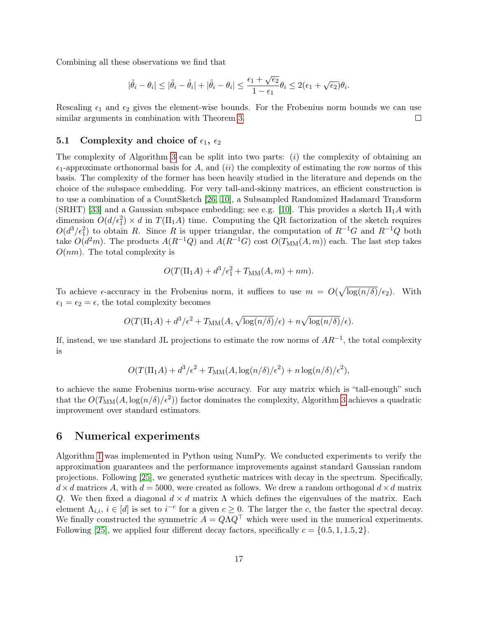Combining all these observations we find that

$$
|\tilde{\theta}_i - \theta_i| \leq |\tilde{\theta}_i - \hat{\theta}_i| + |\hat{\theta}_i - \theta_i| \leq \frac{\epsilon_1 + \sqrt{\epsilon_2}}{1 - \epsilon_1} \theta_i \leq 2(\epsilon_1 + \sqrt{\epsilon_2})\theta_i.
$$

Rescaling  $\epsilon_1$  and  $\epsilon_2$  gives the element-wise bounds. For the Frobenius norm bounds we can use similar arguments in combination with Theorem [3.](#page-10-0)  $\Box$ 

#### 5.1 Complexity and choice of  $\epsilon_1$ ,  $\epsilon_2$

The complexity of Algorithm [3](#page-15-0) can be split into two parts:  $(i)$  the complexity of obtaining an  $\epsilon_1$ -approximate orthonormal basis for A, and (ii) the complexity of estimating the row norms of this basis. The complexity of the former has been heavily studied in the literature and depends on the choice of the subspace embedding. For very tall-and-skinny matrices, an efficient construction is to use a combination of a CountSketch [\[26,](#page-20-13) [10\]](#page-19-15), a Subsampled Randomized Hadamard Transform (SRHT) [\[33\]](#page-20-14) and a Gaussian subspace embedding; see e.g. [\[10\]](#page-19-15). This provides a sketch  $\Pi_1A$  with dimension  $O(d/\epsilon_1^2) \times d$  in  $T(\Pi_1 A)$  time. Computing the QR factorization of the sketch requires  $O(d^3/\epsilon_1^2)$  to obtain R. Since R is upper triangular, the computation of  $R^{-1}G$  and  $R^{-1}Q$  both take  $O(d^2m)$ . The products  $A(R^{-1}Q)$  and  $A(R^{-1}G)$  cost  $O(T_{MM}(A,m))$  each. The last step takes  $O(nm)$ . The total complexity is

$$
O(T(\Pi_1 A) + d^3/\epsilon_1^2 + T_{MM}(A, m) + nm).
$$

To achieve  $\epsilon$ -accuracy in the Frobenius norm, it suffices to use  $m = O(\sqrt{\log(n/\delta)}/\epsilon_2)$ . With  $\epsilon_1 = \epsilon_2 = \epsilon$ , the total complexity becomes

$$
O(T(\Pi_1 A) + d^3/\epsilon^2 + T_{\text{MM}}(A, \sqrt{\log(n/\delta)}/\epsilon) + n\sqrt{\log(n/\delta)}/\epsilon).
$$

If, instead, we use standard JL projections to estimate the row norms of  $AR^{-1}$ , the total complexity is

$$
O(T(\Pi_1 A) + d^3/\epsilon^2 + T_{\text{MM}}(A, \log(n/\delta)/\epsilon^2) + n \log(n/\delta)/\epsilon^2),
$$

to achieve the same Frobenius norm-wise accuracy. For any matrix which is "tall-enough" such that the  $O(T_{\text{MM}}(A, \log(n/\delta)/\epsilon^2))$  factor dominates the complexity, Algorithm [3](#page-15-0) achieves a quadratic improvement over standard estimators.

### <span id="page-16-0"></span>6 Numerical experiments

Algorithm [1](#page-3-0) was implemented in Python using NumPy. We conducted experiments to verify the approximation guarantees and the performance improvements against standard Gaussian random projections. Following [\[25\]](#page-20-0), we generated synthetic matrices with decay in the spectrum. Specifically,  $d \times d$  matrices A, with  $d = 5000$ , were created as follows. We drew a random orthogonal  $d \times d$  matrix Q. We then fixed a diagonal  $d \times d$  matrix  $\Lambda$  which defines the eigenvalues of the matrix. Each element  $\Lambda_{i,i}, i \in [d]$  is set to  $i^{-c}$  for a given  $c \geq 0$ . The larger the c, the faster the spectral decay. We finally constructed the symmetric  $A = QAQ^{\top}$  which were used in the numerical experiments. Following [\[25\]](#page-20-0), we applied four different decay factors, specifically  $c = \{0.5, 1, 1.5, 2\}$ .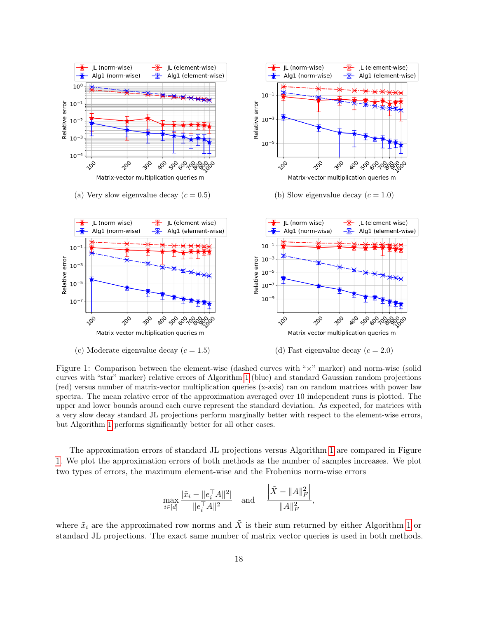<span id="page-17-0"></span>

Figure 1: Comparison between the element-wise (dashed curves with "×" marker) and norm-wise (solid curves with "star" marker) relative errors of Algorithm [1](#page-3-0) (blue) and standard Gaussian random projections (red) versus number of matrix-vector multiplication queries (x-axis) ran on random matrices with power law spectra. The mean relative error of the approximation averaged over 10 independent runs is plotted. The upper and lower bounds around each curve represent the standard deviation. As expected, for matrices with a very slow decay standard JL projections perform marginally better with respect to the element-wise errors, but Algorithm [1](#page-3-0) performs significantly better for all other cases.

The approximation errors of standard JL projections versus Algorithm [1](#page-3-0) are compared in Figure [1.](#page-17-0) We plot the approximation errors of both methods as the number of samples increases. We plot two types of errors, the maximum element-wise and the Frobenius norm-wise errors

$$
\max_{i \in [d]} \frac{|\tilde{x}_i - \|e_i^{\top} A\|^2|}{\|e_i^{\top} A\|^2} \quad \text{and} \quad \frac{\left|\tilde{X} - \|A\|_F^2\right|}{\|A\|_F^2},
$$

where  $\tilde{x}_i$  are the approximated row norms and  $\tilde{X}$  is their sum returned by either Algorithm [1](#page-3-0) or standard JL projections. The exact same number of matrix vector queries is used in both methods.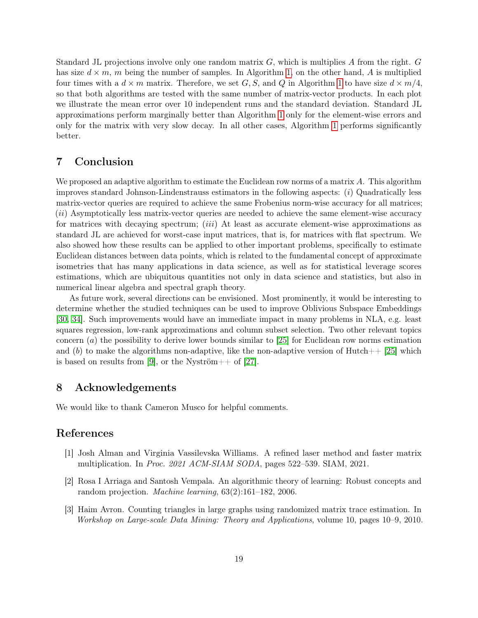Standard JL projections involve only one random matrix  $G$ , which is multiplies  $A$  from the right.  $G$ has size  $d \times m$ , m being the number of samples. In Algorithm [1,](#page-3-0) on the other hand, A is multiplied four times with a  $d \times m$  matrix. Therefore, we set G, S, and Q in Algorithm [1](#page-3-0) to have size  $d \times m/4$ . so that both algorithms are tested with the same number of matrix-vector products. In each plot we illustrate the mean error over 10 independent runs and the standard deviation. Standard JL approximations perform marginally better than Algorithm [1](#page-3-0) only for the element-wise errors and only for the matrix with very slow decay. In all other cases, Algorithm [1](#page-3-0) performs significantly better.

### <span id="page-18-3"></span>7 Conclusion

We proposed an adaptive algorithm to estimate the Euclidean row norms of a matrix A. This algorithm improves standard Johnson-Lindenstrauss estimators in the following aspects:  $(i)$  Quadratically less matrix-vector queries are required to achieve the same Frobenius norm-wise accuracy for all matrices; (ii) Asymptotically less matrix-vector queries are needed to achieve the same element-wise accuracy for matrices with decaying spectrum; *(iii)* At least as accurate element-wise approximations as standard JL are achieved for worst-case input matrices, that is, for matrices with flat spectrum. We also showed how these results can be applied to other important problems, specifically to estimate Euclidean distances between data points, which is related to the fundamental concept of approximate isometries that has many applications in data science, as well as for statistical leverage scores estimations, which are ubiquitous quantities not only in data science and statistics, but also in numerical linear algebra and spectral graph theory.

As future work, several directions can be envisioned. Most prominently, it would be interesting to determine whether the studied techniques can be used to improve Oblivious Subspace Embeddings [\[30,](#page-20-3) [34\]](#page-20-5). Such improvements would have an immediate impact in many problems in NLA, e.g. least squares regression, low-rank approximations and column subset selection. Two other relevant topics concern  $(a)$  the possibility to derive lower bounds similar to [\[25\]](#page-20-0) for Euclidean row norms estimation and (b) to make the algorithms non-adaptive, like the non-adaptive version of  $Hutch++ [25]$  $Hutch++ [25]$  which is based on results from [\[9\]](#page-19-3), or the Nyström++ of [\[27\]](#page-20-8).

# 8 Acknowledgements

We would like to thank Cameron Musco for helpful comments.

# References

- <span id="page-18-2"></span>[1] Josh Alman and Virginia Vassilevska Williams. A refined laser method and faster matrix multiplication. In Proc. 2021 ACM-SIAM SODA, pages 522–539. SIAM, 2021.
- <span id="page-18-1"></span>[2] Rosa I Arriaga and Santosh Vempala. An algorithmic theory of learning: Robust concepts and random projection. Machine learning, 63(2):161–182, 2006.
- <span id="page-18-0"></span>[3] Haim Avron. Counting triangles in large graphs using randomized matrix trace estimation. In Workshop on Large-scale Data Mining: Theory and Applications, volume 10, pages 10–9, 2010.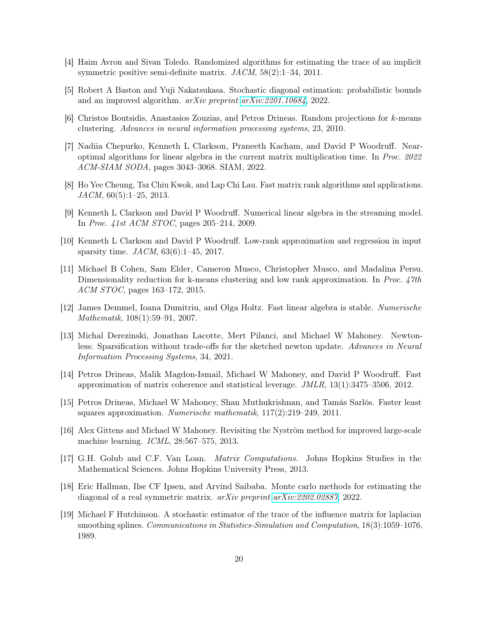- <span id="page-19-7"></span>[4] Haim Avron and Sivan Toledo. Randomized algorithms for estimating the trace of an implicit symmetric positive semi-definite matrix. JACM, 58(2):1–34, 2011.
- <span id="page-19-9"></span>[5] Robert A Baston and Yuji Nakatsukasa. Stochastic diagonal estimation: probabilistic bounds and an improved algorithm. arXiv preprint [arXiv:2201.10684](http://arxiv.org/abs/2201.10684), 2022.
- <span id="page-19-0"></span>[6] Christos Boutsidis, Anastasios Zouzias, and Petros Drineas. Random projections for k-means clustering. Advances in neural information processing systems, 23, 2010.
- <span id="page-19-13"></span>[7] Nadiia Chepurko, Kenneth L Clarkson, Praneeth Kacham, and David P Woodruff. Nearoptimal algorithms for linear algebra in the current matrix multiplication time. In Proc. 2022 ACM-SIAM SODA, pages 3043–3068. SIAM, 2022.
- <span id="page-19-12"></span>[8] Ho Yee Cheung, Tsz Chiu Kwok, and Lap Chi Lau. Fast matrix rank algorithms and applications.  $JACM$ , 60(5):1–25, 2013.
- <span id="page-19-3"></span>[9] Kenneth L Clarkson and David P Woodruff. Numerical linear algebra in the streaming model. In Proc. 41st ACM STOC, pages 205–214, 2009.
- <span id="page-19-15"></span>[10] Kenneth L Clarkson and David P Woodruff. Low-rank approximation and regression in input sparsity time. JACM, 63(6):1–45, 2017.
- <span id="page-19-2"></span>[11] Michael B Cohen, Sam Elder, Cameron Musco, Christopher Musco, and Madalina Persu. Dimensionality reduction for k-means clustering and low rank approximation. In Proc. 47th ACM STOC, pages 163–172, 2015.
- <span id="page-19-11"></span>[12] James Demmel, Ioana Dumitriu, and Olga Holtz. Fast linear algebra is stable. Numerische Mathematik, 108(1):59–91, 2007.
- <span id="page-19-5"></span>[13] Michal Derezinski, Jonathan Lacotte, Mert Pilanci, and Michael W Mahoney. Newtonless: Sparsification without trade-offs for the sketched newton update. Advances in Neural Information Processing Systems, 34, 2021.
- <span id="page-19-14"></span>[14] Petros Drineas, Malik Magdon-Ismail, Michael W Mahoney, and David P Woodruff. Fast approximation of matrix coherence and statistical leverage. JMLR, 13(1):3475–3506, 2012.
- <span id="page-19-4"></span>[15] Petros Drineas, Michael W Mahoney, Shan Muthukrishnan, and Tamás Sarlós. Faster least squares approximation. Numerische mathematik, 117(2):219–249, 2011.
- <span id="page-19-1"></span>[16] Alex Gittens and Michael W Mahoney. Revisiting the Nyström method for improved large-scale machine learning. ICML, 28:567–575, 2013.
- <span id="page-19-10"></span>[17] G.H. Golub and C.F. Van Loan. Matrix Computations. Johns Hopkins Studies in the Mathematical Sciences. Johns Hopkins University Press, 2013.
- <span id="page-19-8"></span>[18] Eric Hallman, Ilse CF Ipsen, and Arvind Saibaba. Monte carlo methods for estimating the diagonal of a real symmetric matrix. arXiv preprint [arXiv:2202.02887](http://arxiv.org/abs/2202.02887), 2022.
- <span id="page-19-6"></span>[19] Michael F Hutchinson. A stochastic estimator of the trace of the influence matrix for laplacian smoothing splines. Communications in Statistics-Simulation and Computation, 18(3):1059–1076, 1989.